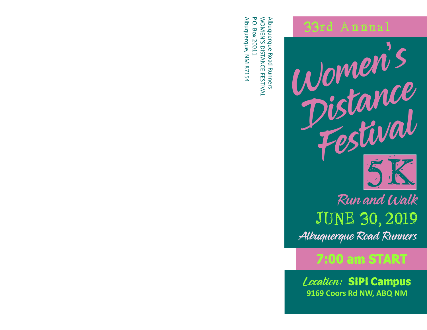## 33rd Annual



Albuquerque Road Runners JUNE 30, 2019 Run and Walk

## 7:00 am START

Location: SIPI Campus **9169 Coors Rd NW, ABQ NM**

Albuquerque R oad Runners W O MEN'S DIS TA N  $\Omega$ FES TIVAL P.<br>O. Box 20011 Albuquerque, N M 8 715 4